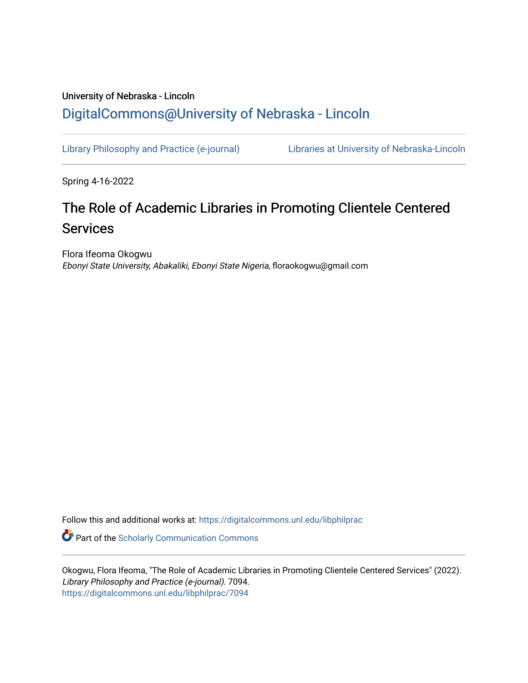## University of Nebraska - Lincoln [DigitalCommons@University of Nebraska - Lincoln](https://digitalcommons.unl.edu/)

[Library Philosophy and Practice \(e-journal\)](https://digitalcommons.unl.edu/libphilprac) [Libraries at University of Nebraska-Lincoln](https://digitalcommons.unl.edu/libraries) 

Spring 4-16-2022

# The Role of Academic Libraries in Promoting Clientele Centered **Services**

Flora Ifeoma Okogwu Ebonyi State University, Abakaliki, Ebonyi State Nigeria, floraokogwu@gmail.com

Follow this and additional works at: [https://digitalcommons.unl.edu/libphilprac](https://digitalcommons.unl.edu/libphilprac?utm_source=digitalcommons.unl.edu%2Flibphilprac%2F7094&utm_medium=PDF&utm_campaign=PDFCoverPages) 

**C** Part of the Scholarly Communication Commons

Okogwu, Flora Ifeoma, "The Role of Academic Libraries in Promoting Clientele Centered Services" (2022). Library Philosophy and Practice (e-journal). 7094. [https://digitalcommons.unl.edu/libphilprac/7094](https://digitalcommons.unl.edu/libphilprac/7094?utm_source=digitalcommons.unl.edu%2Flibphilprac%2F7094&utm_medium=PDF&utm_campaign=PDFCoverPages)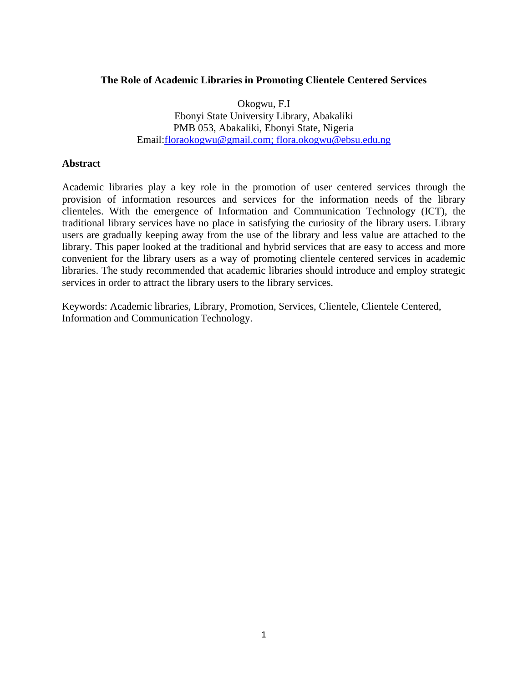## **The Role of Academic Libraries in Promoting Clientele Centered Services**

Okogwu, F.I Ebonyi State University Library, Abakaliki PMB 053, Abakaliki, Ebonyi State, Nigeria Email[:floraokogwu@gmail.com;](mailto:floraokogwu@gmail.com) [flora.okogwu@ebsu.edu.ng](mailto:flora.okogwu@ebsu.edu.ng)

### **Abstract**

Academic libraries play a key role in the promotion of user centered services through the provision of information resources and services for the information needs of the library clienteles. With the emergence of Information and Communication Technology (ICT), the traditional library services have no place in satisfying the curiosity of the library users. Library users are gradually keeping away from the use of the library and less value are attached to the library. This paper looked at the traditional and hybrid services that are easy to access and more convenient for the library users as a way of promoting clientele centered services in academic libraries. The study recommended that academic libraries should introduce and employ strategic services in order to attract the library users to the library services.

Keywords: Academic libraries, Library, Promotion, Services, Clientele, Clientele Centered, Information and Communication Technology.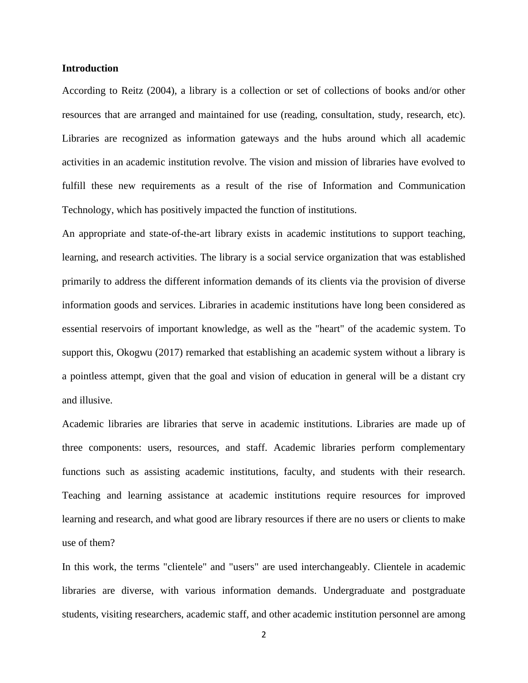#### **Introduction**

According to Reitz (2004), a library is a collection or set of collections of books and/or other resources that are arranged and maintained for use (reading, consultation, study, research, etc). Libraries are recognized as information gateways and the hubs around which all academic activities in an academic institution revolve. The vision and mission of libraries have evolved to fulfill these new requirements as a result of the rise of Information and Communication Technology, which has positively impacted the function of institutions.

An appropriate and state-of-the-art library exists in academic institutions to support teaching, learning, and research activities. The library is a social service organization that was established primarily to address the different information demands of its clients via the provision of diverse information goods and services. Libraries in academic institutions have long been considered as essential reservoirs of important knowledge, as well as the "heart" of the academic system. To support this, Okogwu (2017) remarked that establishing an academic system without a library is a pointless attempt, given that the goal and vision of education in general will be a distant cry and illusive.

Academic libraries are libraries that serve in academic institutions. Libraries are made up of three components: users, resources, and staff. Academic libraries perform complementary functions such as assisting academic institutions, faculty, and students with their research. Teaching and learning assistance at academic institutions require resources for improved learning and research, and what good are library resources if there are no users or clients to make use of them?

In this work, the terms "clientele" and "users" are used interchangeably. Clientele in academic libraries are diverse, with various information demands. Undergraduate and postgraduate students, visiting researchers, academic staff, and other academic institution personnel are among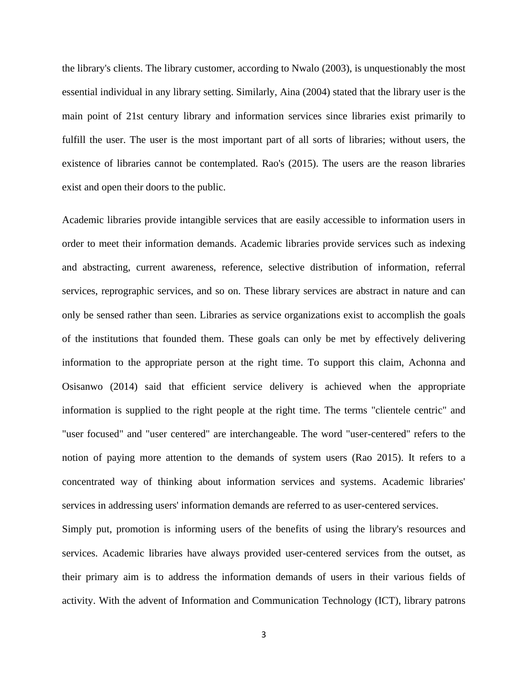the library's clients. The library customer, according to Nwalo (2003), is unquestionably the most essential individual in any library setting. Similarly, Aina (2004) stated that the library user is the main point of 21st century library and information services since libraries exist primarily to fulfill the user. The user is the most important part of all sorts of libraries; without users, the existence of libraries cannot be contemplated. Rao's (2015). The users are the reason libraries exist and open their doors to the public.

Academic libraries provide intangible services that are easily accessible to information users in order to meet their information demands. Academic libraries provide services such as indexing and abstracting, current awareness, reference, selective distribution of information, referral services, reprographic services, and so on. These library services are abstract in nature and can only be sensed rather than seen. Libraries as service organizations exist to accomplish the goals of the institutions that founded them. These goals can only be met by effectively delivering information to the appropriate person at the right time. To support this claim, Achonna and Osisanwo (2014) said that efficient service delivery is achieved when the appropriate information is supplied to the right people at the right time. The terms "clientele centric" and "user focused" and "user centered" are interchangeable. The word "user-centered" refers to the notion of paying more attention to the demands of system users (Rao 2015). It refers to a concentrated way of thinking about information services and systems. Academic libraries' services in addressing users' information demands are referred to as user-centered services.

Simply put, promotion is informing users of the benefits of using the library's resources and services. Academic libraries have always provided user-centered services from the outset, as their primary aim is to address the information demands of users in their various fields of activity. With the advent of Information and Communication Technology (ICT), library patrons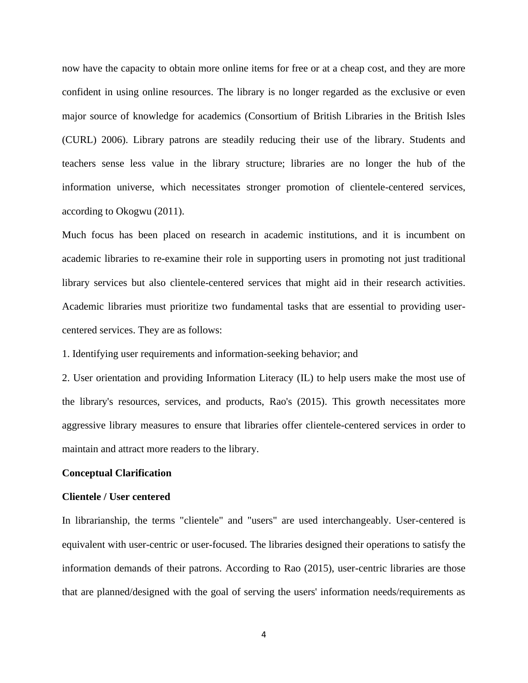now have the capacity to obtain more online items for free or at a cheap cost, and they are more confident in using online resources. The library is no longer regarded as the exclusive or even major source of knowledge for academics (Consortium of British Libraries in the British Isles (CURL) 2006). Library patrons are steadily reducing their use of the library. Students and teachers sense less value in the library structure; libraries are no longer the hub of the information universe, which necessitates stronger promotion of clientele-centered services, according to Okogwu (2011).

Much focus has been placed on research in academic institutions, and it is incumbent on academic libraries to re-examine their role in supporting users in promoting not just traditional library services but also clientele-centered services that might aid in their research activities. Academic libraries must prioritize two fundamental tasks that are essential to providing usercentered services. They are as follows:

1. Identifying user requirements and information-seeking behavior; and

2. User orientation and providing Information Literacy (IL) to help users make the most use of the library's resources, services, and products, Rao's (2015). This growth necessitates more aggressive library measures to ensure that libraries offer clientele-centered services in order to maintain and attract more readers to the library.

#### **Conceptual Clarification**

#### **Clientele / User centered**

In librarianship, the terms "clientele" and "users" are used interchangeably. User-centered is equivalent with user-centric or user-focused. The libraries designed their operations to satisfy the information demands of their patrons. According to Rao (2015), user-centric libraries are those that are planned/designed with the goal of serving the users' information needs/requirements as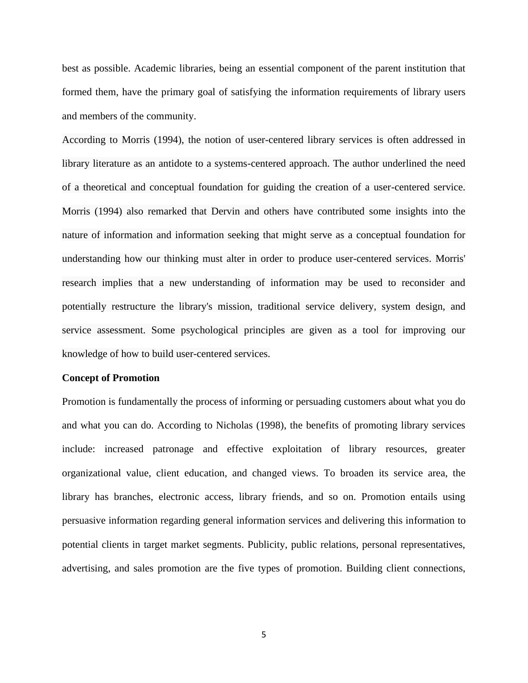best as possible. Academic libraries, being an essential component of the parent institution that formed them, have the primary goal of satisfying the information requirements of library users and members of the community.

According to Morris (1994), the notion of user-centered library services is often addressed in library literature as an antidote to a systems-centered approach. The author underlined the need of a theoretical and conceptual foundation for guiding the creation of a user-centered service. Morris (1994) also remarked that Dervin and others have contributed some insights into the nature of information and information seeking that might serve as a conceptual foundation for understanding how our thinking must alter in order to produce user-centered services. Morris' research implies that a new understanding of information may be used to reconsider and potentially restructure the library's mission, traditional service delivery, system design, and service assessment. Some psychological principles are given as a tool for improving our knowledge of how to build user-centered services.

#### **Concept of Promotion**

Promotion is fundamentally the process of informing or persuading customers about what you do and what you can do. According to Nicholas (1998), the benefits of promoting library services include: increased patronage and effective exploitation of library resources, greater organizational value, client education, and changed views. To broaden its service area, the library has branches, electronic access, library friends, and so on. Promotion entails using persuasive information regarding general information services and delivering this information to potential clients in target market segments. Publicity, public relations, personal representatives, advertising, and sales promotion are the five types of promotion. Building client connections,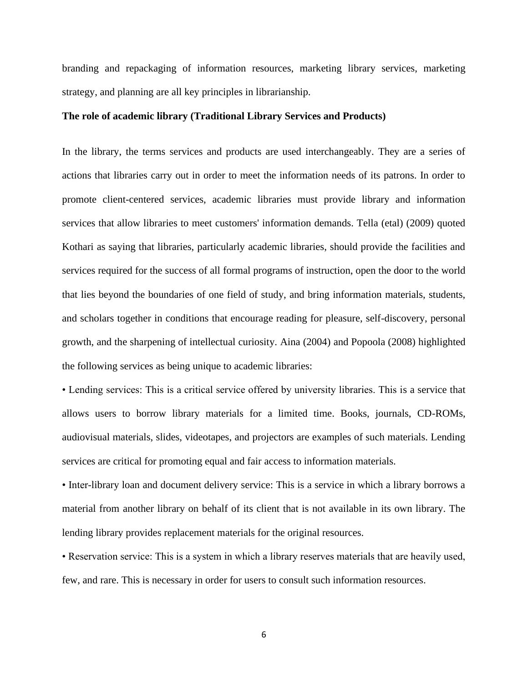branding and repackaging of information resources, marketing library services, marketing strategy, and planning are all key principles in librarianship.

#### **The role of academic library (Traditional Library Services and Products)**

In the library, the terms services and products are used interchangeably. They are a series of actions that libraries carry out in order to meet the information needs of its patrons. In order to promote client-centered services, academic libraries must provide library and information services that allow libraries to meet customers' information demands. Tella (etal) (2009) quoted Kothari as saying that libraries, particularly academic libraries, should provide the facilities and services required for the success of all formal programs of instruction, open the door to the world that lies beyond the boundaries of one field of study, and bring information materials, students, and scholars together in conditions that encourage reading for pleasure, self-discovery, personal growth, and the sharpening of intellectual curiosity. Aina (2004) and Popoola (2008) highlighted the following services as being unique to academic libraries:

• Lending services: This is a critical service offered by university libraries. This is a service that allows users to borrow library materials for a limited time. Books, journals, CD-ROMs, audiovisual materials, slides, videotapes, and projectors are examples of such materials. Lending services are critical for promoting equal and fair access to information materials.

• Inter-library loan and document delivery service: This is a service in which a library borrows a material from another library on behalf of its client that is not available in its own library. The lending library provides replacement materials for the original resources.

• Reservation service: This is a system in which a library reserves materials that are heavily used, few, and rare. This is necessary in order for users to consult such information resources.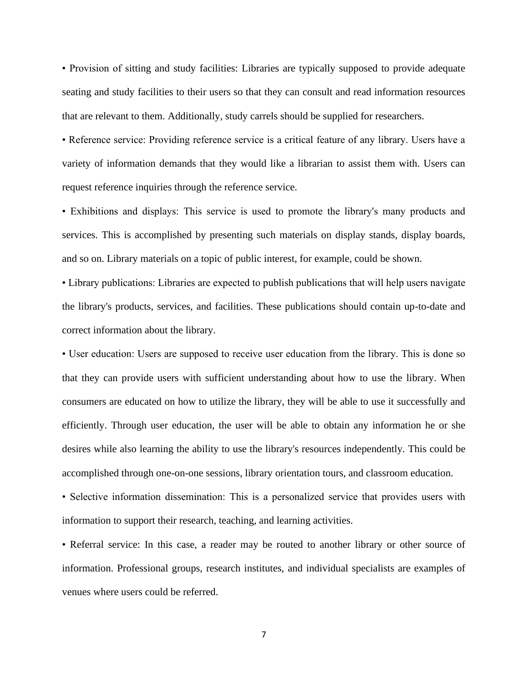• Provision of sitting and study facilities: Libraries are typically supposed to provide adequate seating and study facilities to their users so that they can consult and read information resources that are relevant to them. Additionally, study carrels should be supplied for researchers.

• Reference service: Providing reference service is a critical feature of any library. Users have a variety of information demands that they would like a librarian to assist them with. Users can request reference inquiries through the reference service.

• Exhibitions and displays: This service is used to promote the library's many products and services. This is accomplished by presenting such materials on display stands, display boards, and so on. Library materials on a topic of public interest, for example, could be shown.

• Library publications: Libraries are expected to publish publications that will help users navigate the library's products, services, and facilities. These publications should contain up-to-date and correct information about the library.

• User education: Users are supposed to receive user education from the library. This is done so that they can provide users with sufficient understanding about how to use the library. When consumers are educated on how to utilize the library, they will be able to use it successfully and efficiently. Through user education, the user will be able to obtain any information he or she desires while also learning the ability to use the library's resources independently. This could be accomplished through one-on-one sessions, library orientation tours, and classroom education.

• Selective information dissemination: This is a personalized service that provides users with information to support their research, teaching, and learning activities.

• Referral service: In this case, a reader may be routed to another library or other source of information. Professional groups, research institutes, and individual specialists are examples of venues where users could be referred.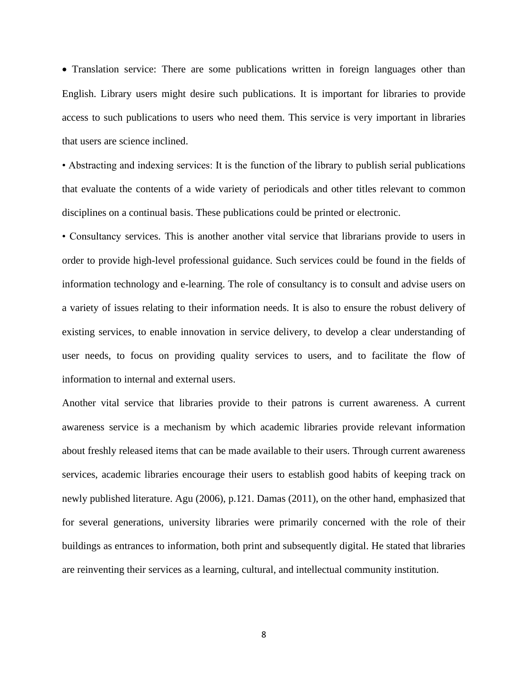• Translation service: There are some publications written in foreign languages other than English. Library users might desire such publications. It is important for libraries to provide access to such publications to users who need them. This service is very important in libraries that users are science inclined.

• Abstracting and indexing services: It is the function of the library to publish serial publications that evaluate the contents of a wide variety of periodicals and other titles relevant to common disciplines on a continual basis. These publications could be printed or electronic.

• Consultancy services. This is another another vital service that librarians provide to users in order to provide high-level professional guidance. Such services could be found in the fields of information technology and e-learning. The role of consultancy is to consult and advise users on a variety of issues relating to their information needs. It is also to ensure the robust delivery of existing services, to enable innovation in service delivery, to develop a clear understanding of user needs, to focus on providing quality services to users, and to facilitate the flow of information to internal and external users.

Another vital service that libraries provide to their patrons is current awareness. A current awareness service is a mechanism by which academic libraries provide relevant information about freshly released items that can be made available to their users. Through current awareness services, academic libraries encourage their users to establish good habits of keeping track on newly published literature. Agu (2006), p.121. Damas (2011), on the other hand, emphasized that for several generations, university libraries were primarily concerned with the role of their buildings as entrances to information, both print and subsequently digital. He stated that libraries are reinventing their services as a learning, cultural, and intellectual community institution.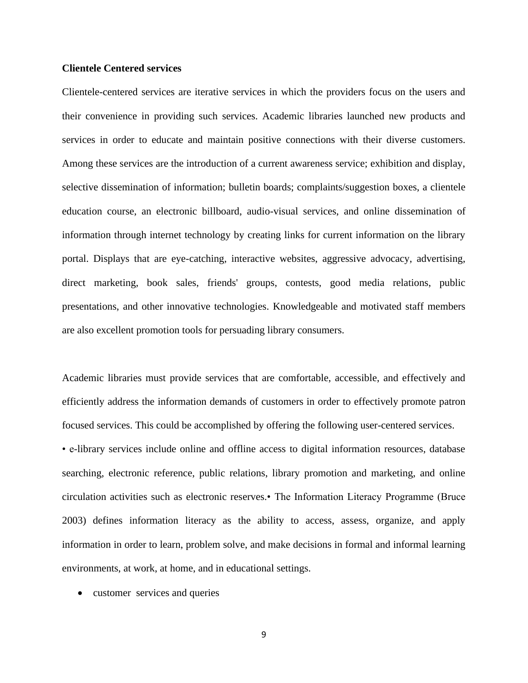#### **Clientele Centered services**

Clientele-centered services are iterative services in which the providers focus on the users and their convenience in providing such services. Academic libraries launched new products and services in order to educate and maintain positive connections with their diverse customers. Among these services are the introduction of a current awareness service; exhibition and display, selective dissemination of information; bulletin boards; complaints/suggestion boxes, a clientele education course, an electronic billboard, audio-visual services, and online dissemination of information through internet technology by creating links for current information on the library portal. Displays that are eye-catching, interactive websites, aggressive advocacy, advertising, direct marketing, book sales, friends' groups, contests, good media relations, public presentations, and other innovative technologies. Knowledgeable and motivated staff members are also excellent promotion tools for persuading library consumers.

Academic libraries must provide services that are comfortable, accessible, and effectively and efficiently address the information demands of customers in order to effectively promote patron focused services. This could be accomplished by offering the following user-centered services.

• e-library services include online and offline access to digital information resources, database searching, electronic reference, public relations, library promotion and marketing, and online circulation activities such as electronic reserves.• The Information Literacy Programme (Bruce 2003) defines information literacy as the ability to access, assess, organize, and apply information in order to learn, problem solve, and make decisions in formal and informal learning environments, at work, at home, and in educational settings.

• customer services and queries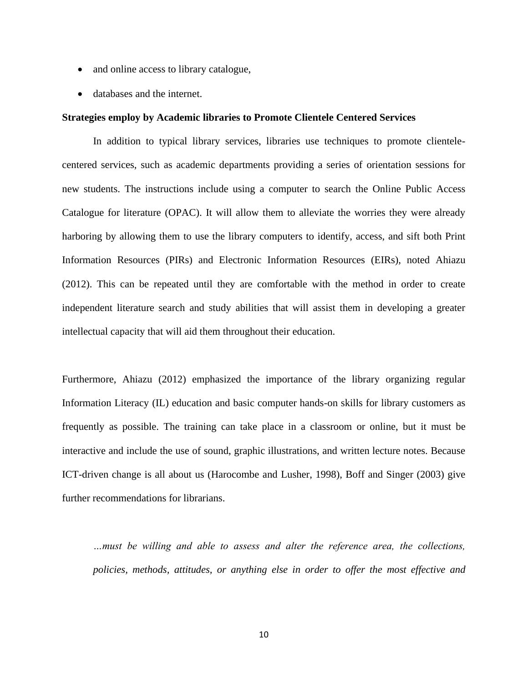- and online access to library catalogue,
- databases and the internet.

#### **Strategies employ by Academic libraries to Promote Clientele Centered Services**

In addition to typical library services, libraries use techniques to promote clientelecentered services, such as academic departments providing a series of orientation sessions for new students. The instructions include using a computer to search the Online Public Access Catalogue for literature (OPAC). It will allow them to alleviate the worries they were already harboring by allowing them to use the library computers to identify, access, and sift both Print Information Resources (PIRs) and Electronic Information Resources (EIRs), noted Ahiazu (2012). This can be repeated until they are comfortable with the method in order to create independent literature search and study abilities that will assist them in developing a greater intellectual capacity that will aid them throughout their education.

Furthermore, Ahiazu (2012) emphasized the importance of the library organizing regular Information Literacy (IL) education and basic computer hands-on skills for library customers as frequently as possible. The training can take place in a classroom or online, but it must be interactive and include the use of sound, graphic illustrations, and written lecture notes. Because ICT-driven change is all about us (Harocombe and Lusher, 1998), Boff and Singer (2003) give further recommendations for librarians.

*…must be willing and able to assess and alter the reference area, the collections, policies, methods, attitudes, or anything else in order to offer the most effective and*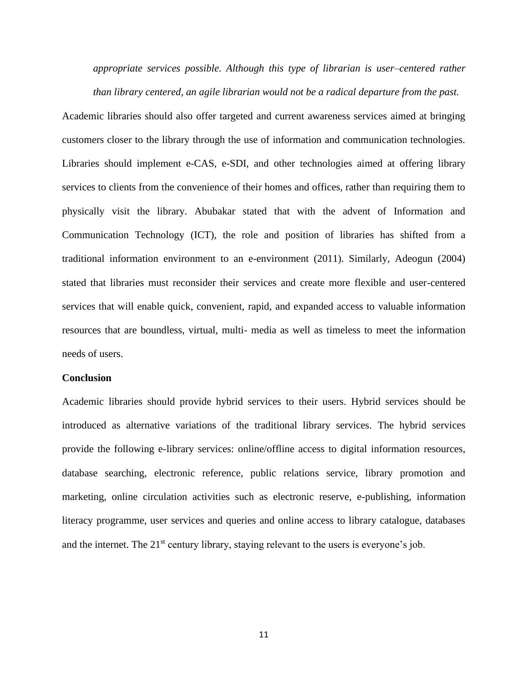*appropriate services possible. Although this type of librarian is user–centered rather than library centered, an agile librarian would not be a radical departure from the past.*

Academic libraries should also offer targeted and current awareness services aimed at bringing customers closer to the library through the use of information and communication technologies. Libraries should implement e-CAS, e-SDI, and other technologies aimed at offering library services to clients from the convenience of their homes and offices, rather than requiring them to physically visit the library. Abubakar stated that with the advent of Information and Communication Technology (ICT), the role and position of libraries has shifted from a traditional information environment to an e-environment (2011). Similarly, Adeogun (2004) stated that libraries must reconsider their services and create more flexible and user-centered services that will enable quick, convenient, rapid, and expanded access to valuable information resources that are boundless, virtual, multi- media as well as timeless to meet the information needs of users.

#### **Conclusion**

Academic libraries should provide hybrid services to their users. Hybrid services should be introduced as alternative variations of the traditional library services. The hybrid services provide the following e-library services: online/offline access to digital information resources, database searching, electronic reference, public relations service, library promotion and marketing, online circulation activities such as electronic reserve, e-publishing, information literacy programme, user services and queries and online access to library catalogue, databases and the internet. The  $21<sup>st</sup>$  century library, staying relevant to the users is everyone's job.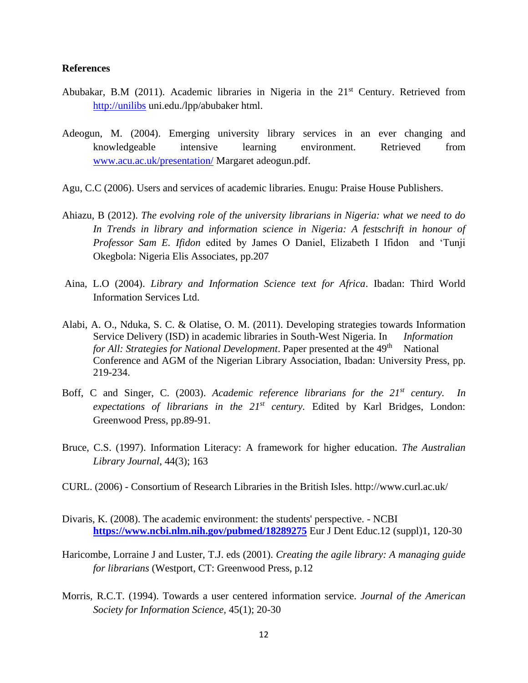### **References**

- Abubakar, B.M (2011). Academic libraries in Nigeria in the 21<sup>st</sup> Century. Retrieved from [http://unilibs](http://unilibs/) uni.edu./lpp/abubaker html.
- Adeogun, M. (2004). Emerging university library services in an ever changing and knowledgeable intensive learning environment. Retrieved from [www.acu.ac.uk/presentation/](http://www.acu.ac.uk/presentation/) Margaret adeogun.pdf.
- Agu, C.C (2006). Users and services of academic libraries. Enugu: Praise House Publishers.
- Ahiazu, B (2012). *The evolving role of the university librarians in Nigeria: what we need to do In Trends in library and information science in Nigeria: A festschrift in honour of Professor Sam E. Ifidon* edited by James O Daniel, Elizabeth I Ifidon and 'Tunji Okegbola: Nigeria Elis Associates, pp.207
- Aina, L.O (2004). *Library and Information Science text for Africa*. Ibadan: Third World Information Services Ltd.
- Alabi, A. O., Nduka, S. C. & Olatise, O. M. (2011). Developing strategies towards Information Service Delivery (ISD) in academic libraries in South-West Nigeria. In *Information for All: Strategies for National Development.* Paper presented at the 49<sup>th</sup> National Conference and AGM of the Nigerian Library Association, Ibadan: University Press, pp. 219-234.
- Boff, C and Singer, C. (2003). *Academic reference librarians for the 21st century. In expectations of librarians in the 21st century.* Edited by Karl Bridges, London: Greenwood Press, pp.89-91.
- Bruce, C.S. (1997). Information Literacy: A framework for higher education. *The Australian Library Journal*, 44(3); 163
- CURL. (2006) Consortium of Research Libraries in the British Isles. http://www.curl.ac.uk/
- Divaris, K. (2008). [The academic environment: the students' perspective. -](https://www.ncbi.nlm.nih.gov/pubmed/18289275) NCBI **<https://www.ncbi.nlm.nih.gov/pubmed/18289275>** Eur J Dent Educ.12 (suppl)1, 120-30
- Haricombe, Lorraine J and Luster, T.J. eds (2001). *Creating the agile library: A managing guide for librarians* (Westport, CT: Greenwood Press, p.12
- Morris, R.C.T. (1994). Towards a user centered information service. *Journal of the American Society for Information Science,* 45(1); 20-30